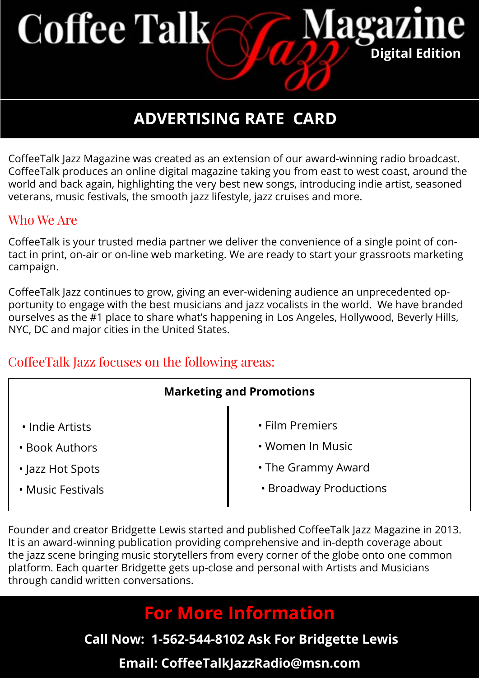# **Coffee Talk**

# **ADVERTISING RATE CARD**

**Digital Edition** 

agaz

CoffeeTalk Jazz Magazine was created as an extension of our award-winning radio broadcast. CoffeeTalk produces an online digital magazine taking you from east to west coast, around the world and back again, highlighting the very best new songs, introducing indie artist, seasoned veterans, music festivals, the smooth jazz lifestyle, jazz cruises and more.

### Who We Are

tact in print, on-air or on-line web marketing. We are ready to start your grassroots marketing CoffeeTalk is your trusted media partner we deliver the convenience of a single point of con-.campaign

portunity to engage with the best musicians and jazz vocalists in the world. We have branded CoffeeTalk Jazz continues to grow, giving an ever-widening audience an unprecedented opourselves as the #1 place to share what's happening in Los Angeles, Hollywood, Beverly Hills, NYC, DC and major cities in the United States.

## CoffeeTalk Jazz focuses on the following areas:

| <b>Marketing and Promotions</b> |                        |  |  |
|---------------------------------|------------------------|--|--|
| • Indie Artists                 | • Film Premiers        |  |  |
| • Book Authors                  | • Women In Music       |  |  |
|                                 |                        |  |  |
| • Jazz Hot Spots                | • The Grammy Award     |  |  |
| • Music Festivals               | • Broadway Productions |  |  |
|                                 |                        |  |  |

Founder and creator Bridgette Lewis started and published CoffeeTalk Jazz Magazine in 2013. It is an award-winning publication providing comprehensive and in-depth coverage about the jazz scene bringing music storytellers from every corner of the globe onto one common platform. Each quarter Bridgette gets up-close and personal with Artists and Musicians through candid written conversations.

## **For More Information**

**Call Now: 1-562-544-8102 Ask For Bridgette Lewis** 

## **Email: CoffeeTalkJazzRadio@msn.com**